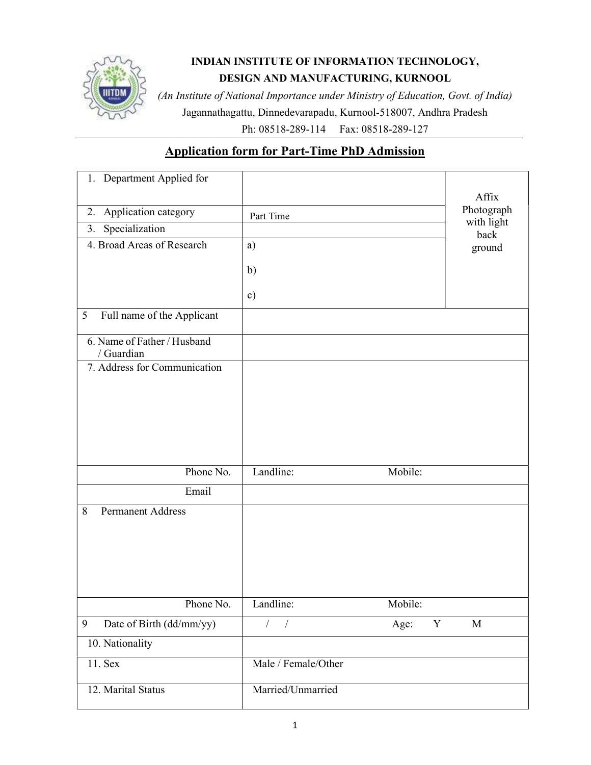

# INDIAN INSTITUTE OF INFORMATION TECHNOLOGY, DESIGN AND MANUFACTURING, KURNOOL

(An Institute of National Importance under Ministry of Education, Govt. of India) Jagannathagattu, Dinnedevarapadu, Kurnool-518007, Andhra Pradesh

Ph: 08518-289-114 Fax: 08518-289-127

# Application form for Part-Time PhD Admission

| 1. Department Applied for<br>Application category<br>2.<br>Specialization<br>3. | Part Time           |           | Affix<br>Photograph<br>with light<br>back |
|---------------------------------------------------------------------------------|---------------------|-----------|-------------------------------------------|
| 4. Broad Areas of Research                                                      | a)                  |           | ground                                    |
|                                                                                 | $\mathbf{b}$        |           |                                           |
|                                                                                 | $\mathbf{c})$       |           |                                           |
| Full name of the Applicant<br>5                                                 |                     |           |                                           |
| 6. Name of Father / Husband<br>/ Guardian                                       |                     |           |                                           |
| 7. Address for Communication                                                    |                     |           |                                           |
|                                                                                 |                     |           |                                           |
|                                                                                 |                     |           |                                           |
|                                                                                 |                     |           |                                           |
| Phone No.                                                                       | Landline:           | Mobile:   |                                           |
| Email                                                                           |                     |           |                                           |
| <b>Permanent Address</b><br>8                                                   |                     |           |                                           |
|                                                                                 |                     |           |                                           |
|                                                                                 |                     |           |                                           |
|                                                                                 |                     |           |                                           |
|                                                                                 |                     |           |                                           |
| Phone No.                                                                       | Landline:           | Mobile:   |                                           |
| Date of Birth (dd/mm/yy)<br>9                                                   | $\overline{1}$      | Age:<br>Y | $\mathbf M$                               |
| 10. Nationality                                                                 |                     |           |                                           |
| 11. Sex                                                                         | Male / Female/Other |           |                                           |
| 12. Marital Status                                                              | Married/Unmarried   |           |                                           |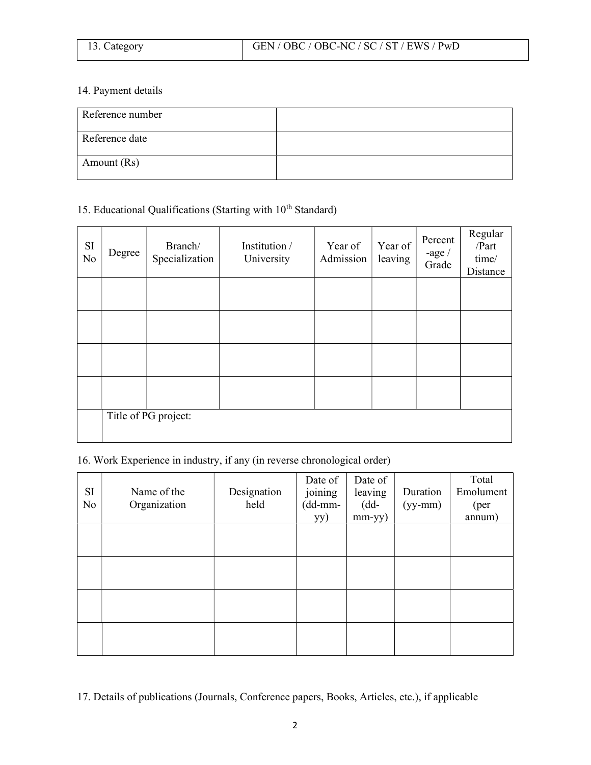| Category |  |
|----------|--|
|----------|--|

### 14. Payment details

| Reference number |  |
|------------------|--|
| Reference date   |  |
| Amount (Rs)      |  |

# 15. Educational Qualifications (Starting with  $10^{th}$  Standard)

| SI<br>No | Degree               | Branch/<br>Specialization | Institution /<br>University | Year of<br>Admission | Year of<br>leaving | Percent<br>-age $/$<br>Grade | Regular<br>/Part<br>time/<br>Distance |
|----------|----------------------|---------------------------|-----------------------------|----------------------|--------------------|------------------------------|---------------------------------------|
|          |                      |                           |                             |                      |                    |                              |                                       |
|          |                      |                           |                             |                      |                    |                              |                                       |
|          |                      |                           |                             |                      |                    |                              |                                       |
|          |                      |                           |                             |                      |                    |                              |                                       |
|          | Title of PG project: |                           |                             |                      |                    |                              |                                       |

16. Work Experience in industry, if any (in reverse chronological order)

| SI<br>No | Name of the<br>Organization | Designation<br>held | Date of<br>joining<br>(dd-mm-<br>yy) | Date of<br>leaving<br>$(dd-$<br>mm-yy) | Duration<br>$(yy-mm)$ | Total<br>Emolument<br>(per)<br>annum) |
|----------|-----------------------------|---------------------|--------------------------------------|----------------------------------------|-----------------------|---------------------------------------|
|          |                             |                     |                                      |                                        |                       |                                       |
|          |                             |                     |                                      |                                        |                       |                                       |
|          |                             |                     |                                      |                                        |                       |                                       |
|          |                             |                     |                                      |                                        |                       |                                       |

17. Details of publications (Journals, Conference papers, Books, Articles, etc.), if applicable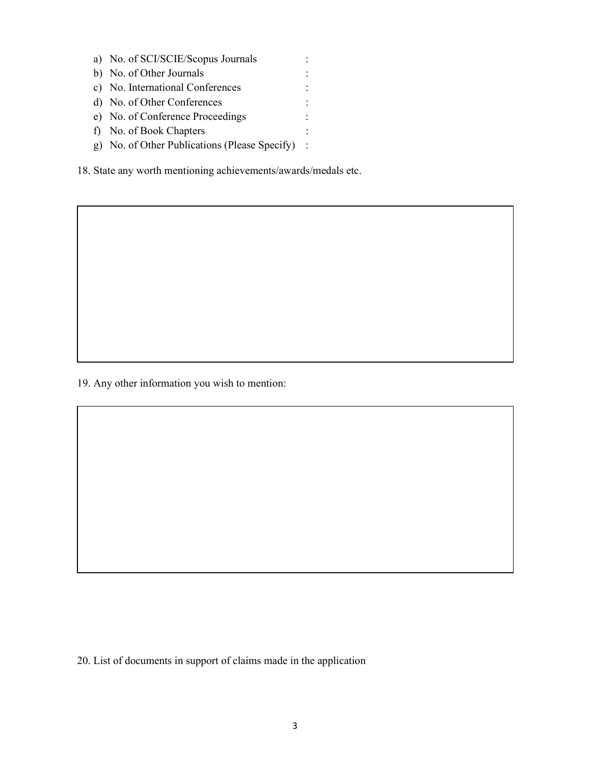a) No. of SCI/SCIE/Scopus Journals : b) No. of Other Journals : c) No. International Conferences : d) No. of Other Conferences : e) No. of Conference Proceedings : f) No. of Book Chapters : g) No. of Other Publications (Please Specify) :

18. State any worth mentioning achievements/awards/medals etc.

19. Any other information you wish to mention:

20. List of documents in support of claims made in the application